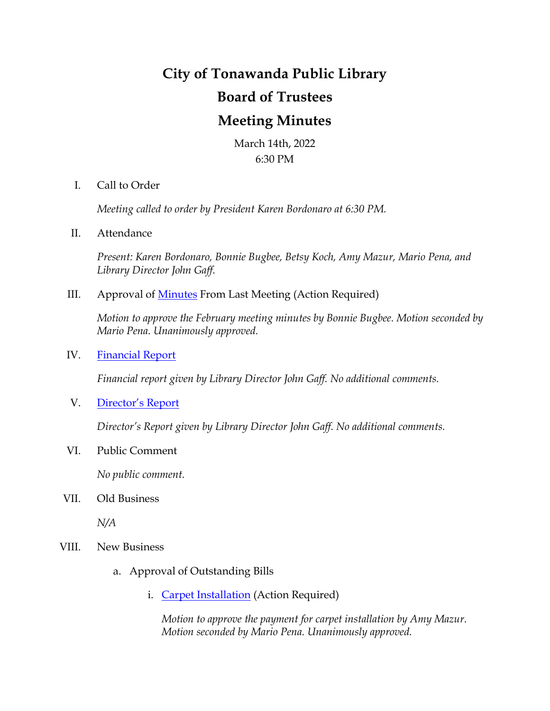## **City of Tonawanda Public Library Board of Trustees Meeting Minutes**

March 14th, 2022 6:30 PM

I. Call to Order

*Meeting called to order by President Karen Bordonaro at 6:30 PM.*

II. Attendance

*Present: Karen Bordonaro, Bonnie Bugbee, Betsy Koch, Amy Mazur, Mario Pena, and Library Director John Gaff.*

III. Approval of **Minutes** From Last Meeting (Action Required)

*Motion to approve the February meeting minutes by Bonnie Bugbee. Motion seconded by Mario Pena. Unanimously approved.*

IV. [Financial Report](file://///cntstasrv02/tonstaff/Board%20of%20Trustees/2022%20Financial%20Statements/Financial%20Statement%20February%202022.pdf)

*Financial report given by Library Director John Gaff. No additional comments.*

V. [Director's Report](file://///cntstasrv02/tonstaff/Board%20of%20Trustees/2022%20Monthly%20Reports/TON%20Monthly%20Report%20February%202022.pdf)

*Director's Report given by Library Director John Gaff. No additional comments.*

VI. Public Comment

*No public comment.*

VII. Old Business

*N/A*

- VIII. New Business
	- a. Approval of Outstanding Bills
		- i. [Carpet Installation](file://///cntstasrv02/tonstaff/Grants/Facility%20Improvement%20Initiative/Inv_10149_from_HAMBURG_FLOOR_COVERING_4736.pdf) (Action Required)

*Motion to approve the payment for carpet installation by Amy Mazur. Motion seconded by Mario Pena. Unanimously approved.*